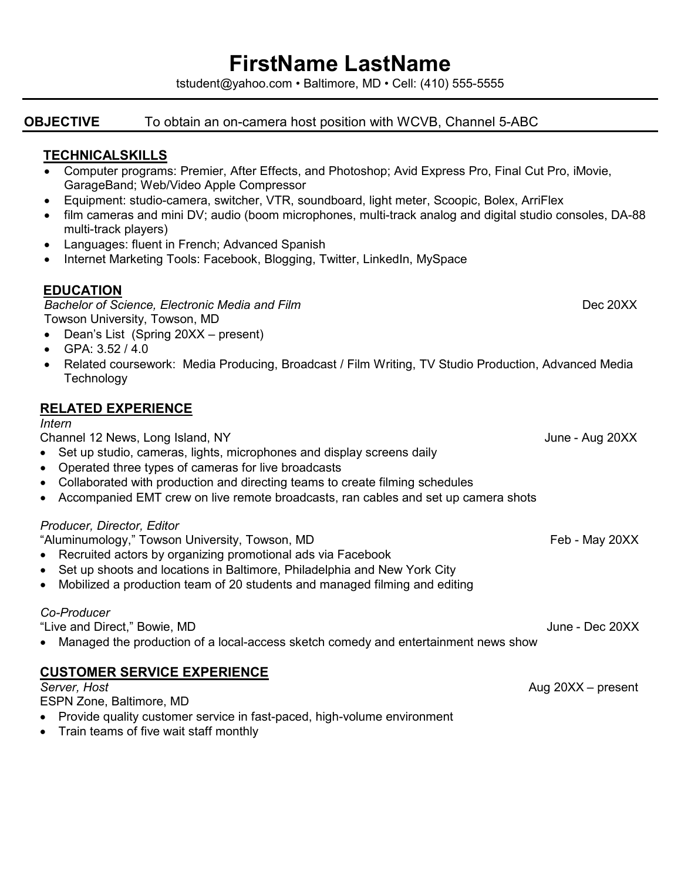## **FirstName LastName**

tstudent@yahoo.com • Baltimore, MD • Cell: (410) 555-5555

**OBJECTIVE** To obtain an on-camera host position with WCVB, Channel 5-ABC

## **TECHNICALSKILLS**

- Computer programs: Premier, After Effects, and Photoshop; Avid Express Pro, Final Cut Pro, iMovie, GarageBand; Web/Video Apple Compressor
- Equipment: studio-camera, switcher, VTR, soundboard, light meter, Scoopic, Bolex, ArriFlex
- film cameras and mini DV; audio (boom microphones, multi-track analog and digital studio consoles, DA-88 multi-track players)
- Languages: fluent in French; Advanced Spanish
- Internet Marketing Tools: Facebook, Blogging, Twitter, LinkedIn, MySpace

## **EDUCATION**

*Bachelor of Science, Electronic Media and Film*Dec 20XX Towson University, Towson, MD

- Dean's List (Spring 20XX present)
- GPA: 3.52 / 4.0
- Related coursework: Media Producing, Broadcast / Film Writing, TV Studio Production, Advanced Media **Technology**

## **RELATED EXPERIENCE**

#### *Intern*

Channel 12 News, Long Island, NYJune - Aug 20XX

- Set up studio, cameras, lights, microphones and display screens daily
- Operated three types of cameras for live broadcasts
- Collaborated with production and directing teams to create filming schedules
- Accompanied EMT crew on live remote broadcasts, ran cables and set up camera shots

#### *Producer, Director, Editor*

"Aluminumology," Towson University, Towson, MDFeb - May 20XX

- Recruited actors by organizing promotional ads via Facebook
- Set up shoots and locations in Baltimore, Philadelphia and New York City
- Mobilized a production team of 20 students and managed filming and editing

### *Co-Producer*

"Live and Direct," Bowie, MD June - Dec 20XX

• Managed the production of a local-access sketch comedy and entertainment news show

# **CUSTOMER SERVICE EXPERIENCE**

#### ESPN Zone, Baltimore, MD

- Provide quality customer service in fast-paced, high-volume environment
- Train teams of five wait staff monthly

*Server, Host* Aug 20XX – present